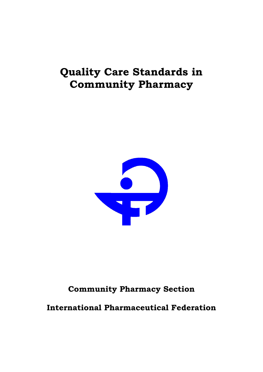# **Quality Care Standards in Community Pharmacy**



# **Community Pharmacy Section**

**International Pharmaceutical Federation**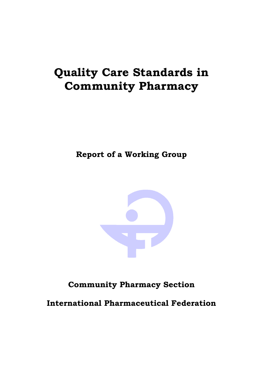# **Quality Care Standards in Community Pharmacy**

**Report of a Working Group** 



# **Community Pharmacy Section**

**International Pharmaceutical Federation**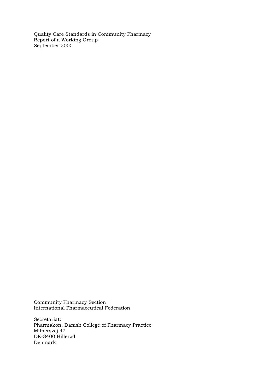Quality Care Standards in Community Pharmacy Report of a Working Group September 2005

Community Pharmacy Section International Pharmaceutical Federation

Secretariat: Pharmakon, Danish College of Pharmacy Practice Milnersvej 42 DK-3400 Hillerød Denmark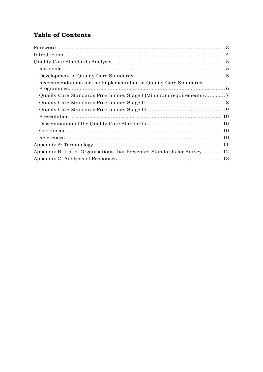# **Table of Contents**

| Recommendations for the Implementation of Quality Care Standards          |  |
|---------------------------------------------------------------------------|--|
|                                                                           |  |
|                                                                           |  |
|                                                                           |  |
|                                                                           |  |
|                                                                           |  |
|                                                                           |  |
|                                                                           |  |
|                                                                           |  |
| Appendix B: List of Organisations that Presented Standards for Survey  12 |  |
|                                                                           |  |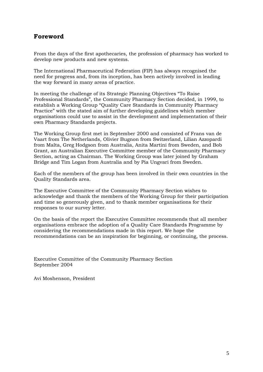#### **Foreword**

From the days of the first apothecaries, the profession of pharmacy has worked to develop new products and new systems.

The International Pharmaceutical Federation (FIP) has always recognised the need for progress and, from its inception, has been actively involved in leading the way forward in many areas of practice.

In meeting the challenge of its Strategic Planning Objectives "To Raise Professional Standards", the Community Pharmacy Section decided, in 1999, to establish a Working Group "Quality Care Standards in Community Pharmacy Practice" with the stated aim of further developing guidelines which member organisations could use to assist in the development and implementation of their own Pharmacy Standards projects.

The Working Group first met in September 2000 and consisted of Frans van de Vaart from The Netherlands, Olivier Bugnon from Switzerland, Lilian Azzopardi from Malta, Greg Hodgson from Australia, Anita Martini from Sweden, and Bob Grant, an Australian Executive Committee member of the Community Pharmacy Section, acting as Chairman. The Working Group was later joined by Graham Bridge and Tim Logan from Australia and by Pia Ungvari from Sweden.

Each of the members of the group has been involved in their own countries in the Quality Standards area.

The Executive Committee of the Community Pharmacy Section wishes to acknowledge and thank the members of the Working Group for their participation and time so generously given, and to thank member organisations for their responses to our survey letter.

On the basis of the report the Executive Committee recommends that all member organisations embrace the adoption of a Quality Care Standards Programme by considering the recommendations made in this report. We hope the recommendations can be an inspiration for beginning, or continuing, the process.

Executive Committee of the Community Pharmacy Section September 2004

Avi Moshenson, President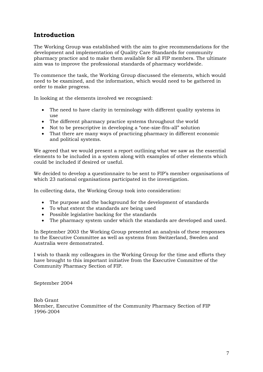### **Introduction**

The Working Group was established with the aim to give recommendations for the development and implementation of Quality Care Standards for community pharmacy practice and to make them available for all FIP members. The ultimate aim was to improve the professional standards of pharmacy worldwide.

To commence the task, the Working Group discussed the elements, which would need to be examined, and the information, which would need to be gathered in order to make progress.

In looking at the elements involved we recognised:

- The need to have clarity in terminology with different quality systems in use
- The different pharmacy practice systems throughout the world
- Not to be prescriptive in developing a "one-size-fits-all" solution
- That there are many ways of practicing pharmacy in different economic and political systems.

We agreed that we would present a report outlining what we saw as the essential elements to be included in a system along with examples of other elements which could be included if desired or useful.

We decided to develop a questionnaire to be sent to FIP's member organisations of which 23 national organisations participated in the investigation.

In collecting data, the Working Group took into consideration:

- The purpose and the background for the development of standards
- To what extent the standards are being used
- Possible legislative backing for the standards
- The pharmacy system under which the standards are developed and used.

In September 2003 the Working Group presented an analysis of these responses to the Executive Committee as well as systems from Switzerland, Sweden and Australia were demonstrated.

I wish to thank my colleagues in the Working Group for the time and efforts they have brought to this important initiative from the Executive Committee of the Community Pharmacy Section of FIP.

September 2004

Bob Grant Member, Executive Committee of the Community Pharmacy Section of FIP 1996-2004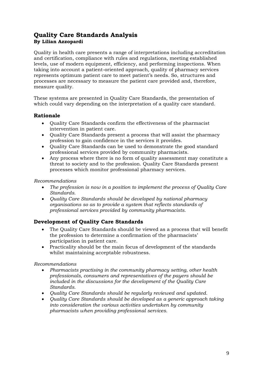#### **Quality Care Standards Analysis By Lilian Azzopardi**

Quality in health care presents a range of interpretations including accreditation and certification, compliance with rules and regulations, meeting established levels, use of modern equipment, efficiency, and performing inspections. When taking into account a patient-oriented approach, quality of pharmacy services represents optimum patient care to meet patient's needs. So, structures and processes are necessary to measure the patient care provided and, therefore, measure quality.

These systems are presented in Quality Care Standards, the presentation of which could vary depending on the interpretation of a quality care standard.

#### **Rationale**

- Quality Care Standards confirm the effectiveness of the pharmacist intervention in patient care.
- Quality Care Standards present a process that will assist the pharmacy profession to gain confidence in the services it provides.
- Quality Care Standards can be used to demonstrate the good standard professional services provided by community pharmacists.
- Any process where there is no form of quality assessment may constitute a threat to society and to the profession. Quality Care Standards present processes which monitor professional pharmacy services.

#### *Recommendations*

- *The profession is now in a position to implement the process of Quality Care Standards.*
- *Quality Care Standards should be developed by national pharmacy organisations so as to provide a system that reflects standards of professional services provided by community pharmacists.*

#### **Development of Quality Care Standards**

- The Quality Care Standards should be viewed as a process that will benefit the profession to determine a confirmation of the pharmacists' participation in patient care.
- Practicality should be the main focus of development of the standards whilst maintaining acceptable robustness.

#### *Recommendations*

- *Pharmacists practising in the community pharmacy setting, other health professionals, consumers and representatives of the payers should be included in the discussions for the development of the Quality Care Standards.*
- *Quality Care Standards should be regularly reviewed and updated.*
- *Quality Care Standards should be developed as a generic approach taking into consideration the various activities undertaken by community pharmacists when providing professional services.*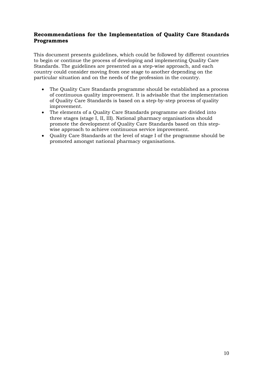#### **Recommendations for the Implementation of Quality Care Standards Programmes**

This document presents guidelines, which could be followed by different countries to begin or continue the process of developing and implementing Quality Care Standards. The guidelines are presented as a step-wise approach, and each country could consider moving from one stage to another depending on the particular situation and on the needs of the profession in the country.

- The Quality Care Standards programme should be established as a process of continuous quality improvement. It is advisable that the implementation of Quality Care Standards is based on a step-by-step process of quality improvement.
- The elements of a Quality Care Standards programme are divided into three stages (stage I, II, III). National pharmacy organisations should promote the development of Quality Care Standards based on this stepwise approach to achieve continuous service improvement.
- Quality Care Standards at the level of stage I of the programme should be promoted amongst national pharmacy organisations.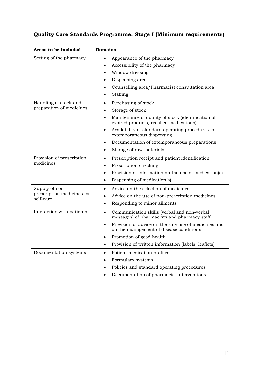# **Quality Care Standards Programme: Stage I (Minimum requirements)**

| Areas to be included                    | <b>Domains</b>                                                                                               |  |
|-----------------------------------------|--------------------------------------------------------------------------------------------------------------|--|
| Setting of the pharmacy                 | Appearance of the pharmacy<br>$\bullet$                                                                      |  |
|                                         | Accessibility of the pharmacy                                                                                |  |
|                                         | Window dressing<br>$\bullet$                                                                                 |  |
|                                         | Dispensing area<br>٠                                                                                         |  |
|                                         | Counselling area/Pharmacist consultation area<br>٠                                                           |  |
|                                         | Staffing                                                                                                     |  |
| Handling of stock and                   | Purchasing of stock<br>$\bullet$                                                                             |  |
| preparation of medicines                | Storage of stock<br>٠                                                                                        |  |
|                                         | Maintenance of quality of stock (identification of<br>٠<br>expired products, recalled medications)           |  |
|                                         | Availability of standard operating procedures for<br>extemporaneous dispensing                               |  |
|                                         | Documentation of extemporaneous preparations<br>٠                                                            |  |
|                                         | Storage of raw materials<br>$\bullet$                                                                        |  |
| Provision of prescription               | Prescription receipt and patient identification<br>$\bullet$                                                 |  |
| medicines                               | Prescription checking                                                                                        |  |
|                                         | Provision of information on the use of medication(s)                                                         |  |
|                                         | Dispensing of medication(s)<br>$\bullet$                                                                     |  |
| Supply of non-                          | Advice on the selection of medicines<br>$\bullet$                                                            |  |
| prescription medicines for<br>self-care | Advice on the use of non-prescription medicines<br>$\bullet$                                                 |  |
|                                         | Responding to minor ailments<br>$\bullet$                                                                    |  |
| Interaction with patients               | Communication skills (verbal and non-verbal<br>$\bullet$<br>messages) of pharmacists and pharmacy staff      |  |
|                                         | Provision of advice on the safe use of medicines and<br>$\bullet$<br>on the management of disease conditions |  |
|                                         | Promotion of good health                                                                                     |  |
|                                         | Provision of written information (labels, leaflets)                                                          |  |
| Documentation systems                   | Patient medication profiles<br>$\bullet$                                                                     |  |
|                                         | Formulary systems                                                                                            |  |
|                                         | Policies and standard operating procedures<br>٠                                                              |  |
|                                         | Documentation of pharmacist interventions                                                                    |  |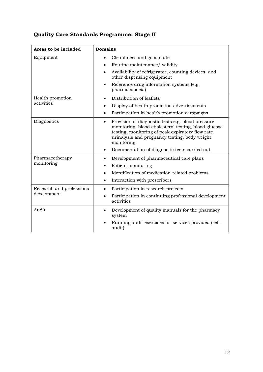|  |  | Quality Care Standards Programme: Stage II |  |
|--|--|--------------------------------------------|--|
|--|--|--------------------------------------------|--|

| Areas to be included                     | <b>Domains</b>                                                                                                                                                                                                                                                                                           |
|------------------------------------------|----------------------------------------------------------------------------------------------------------------------------------------------------------------------------------------------------------------------------------------------------------------------------------------------------------|
| Equipment                                | Cleanliness and good state<br>$\bullet$<br>Routine maintenance/ validity<br>$\bullet$<br>Availability of refrigerator, counting devices, and<br>$\bullet$<br>other dispensing equipment                                                                                                                  |
|                                          | Reference drug information systems (e.g.<br>$\bullet$<br>pharmacopoeia)                                                                                                                                                                                                                                  |
| Health promotion<br>activities           | Distribution of leaflets<br>$\bullet$<br>Display of health promotion advertisements<br>٠<br>Participation in health promotion campaigns<br>$\bullet$                                                                                                                                                     |
| Diagnostics                              | Provision of diagnostic tests e.g. blood pressure<br>$\bullet$<br>monitoring, blood cholesterol testing, blood glucose<br>testing, monitoring of peak expiratory flow rate,<br>urinalysis and pregnancy testing, body weight<br>monitoring<br>Documentation of diagnostic tests carried out<br>$\bullet$ |
| Pharmacotherapy<br>monitoring            | Development of pharmaceutical care plans<br>$\bullet$<br>Patient monitoring<br>Identification of medication-related problems<br>$\bullet$<br>Interaction with prescribers<br>$\bullet$                                                                                                                   |
| Research and professional<br>development | Participation in research projects<br>$\bullet$<br>Participation in continuing professional development<br>$\bullet$<br>activities                                                                                                                                                                       |
| Audit                                    | Development of quality manuals for the pharmacy<br>system<br>Running audit exercises for services provided (self-<br>audit)                                                                                                                                                                              |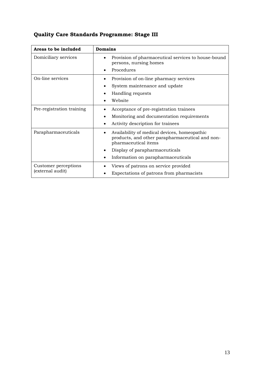| Areas to be included                     | <b>Domains</b>                                                                                                                                                                                  |  |
|------------------------------------------|-------------------------------------------------------------------------------------------------------------------------------------------------------------------------------------------------|--|
| Domiciliary services                     | Provision of pharmaceutical services to house-bound<br>persons, nursing homes<br>Procedures                                                                                                     |  |
| On-line services                         | Provision of on-line pharmacy services<br>System maintenance and update<br>Handling requests<br>Website                                                                                         |  |
| Pre-registration training                | Acceptance of pre-registration trainees<br>Monitoring and documentation requirements<br>Activity description for trainees                                                                       |  |
| Parapharmaceuticals                      | Availability of medical devices, homeopathic<br>products, and other parapharmaceutical and non-<br>pharmaceutical items<br>Display of parapharmaceuticals<br>Information on parapharmaceuticals |  |
| Customer perceptions<br>(external audit) | Views of patrons on service provided<br>Expectations of patrons from pharmacists                                                                                                                |  |

# **Quality Care Standards Programme: Stage III**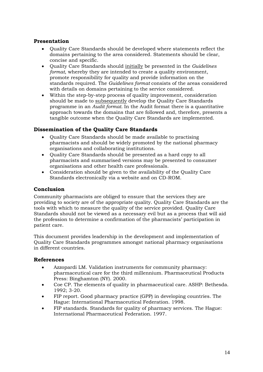#### **Presentation**

- Quality Care Standards should be developed where statements reflect the domains pertaining to the area considered. Statements should be clear, concise and specific.
- Quality Care Standards should initially be presented in the *Guidelines format*, whereby they are intended to create a quality environment, promote responsibility for quality and provide information on the standards required. The *Guidelines format* consists of the areas considered with details on domains pertaining to the service considered.
- Within the step-by-step process of quality improvement, consideration should be made to subsequently develop the Quality Care Standards programme in an *Audit format.* In the Audit format there is a quantitative approach towards the domains that are followed and, therefore, presents a tangible outcome when the Quality Care Standards are implemented.

#### **Dissemination of the Quality Care Standards**

- Quality Care Standards should be made available to practising pharmacists and should be widely promoted by the national pharmacy organisations and collaborating institutions.
- Quality Care Standards should be presented as a hard copy to all pharmacists and summarised versions may be presented to consumer organisations and other health care professionals.
- Consideration should be given to the availability of the Quality Care Standards electronically via a website and on CD-ROM.

#### **Conclusion**

Community pharmacists are obliged to ensure that the services they are providing to society are of the appropriate quality. Quality Care Standards are the tools with which to measure the quality of the service provided. Quality Care Standards should not be viewed as a necessary evil but as a process that will aid the profession to determine a confirmation of the pharmacists' participation in patient care.

This document provides leadership in the development and implementation of Quality Care Standards programmes amongst national pharmacy organisations in different countries.

#### **References**

- Azzopardi LM. Validation instruments for community pharmacy: pharmaceutical care for the third millennium. Pharmaceutical Products Press: Binghamton (NY). 2000.
- Coe CP. The elements of quality in pharmaceutical care. ASHP: Bethesda. 1992; 3-20.
- FIP report. Good pharmacy practice (GPP) in developing countries. The Hague: International Pharmaceutical Federation. 1998.
- FIP standards. Standards for quality of pharmacy services. The Hague: International Pharmaceutical Federation. 1997.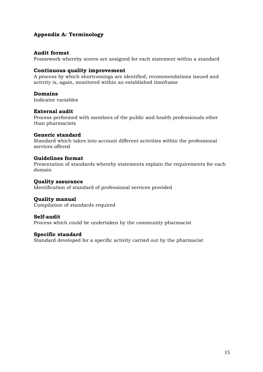#### **Appendix A: Terminology**

#### **Audit format**

Framework whereby scores are assigned for each statement within a standard

#### **Continuous quality improvement**

A process by which shortcomings are identified, recommendations issued and activity is, again, monitored within an established timeframe

#### **Domains**

Indicator variables

#### **External audit**

Process performed with members of the public and health professionals other than pharmacists

#### **Generic standard**

Standard which takes into account different activities within the professional services offered

#### **Guidelines format**

Presentation of standards whereby statements explain the requirements for each domain

#### **Quality assurance**

Identification of standard of professional services provided

#### **Quality manual**

Compilation of standards required

#### **Self-audit**

Process which could be undertaken by the community pharmacist

#### **Specific standard**

Standard developed for a specific activity carried out by the pharmacist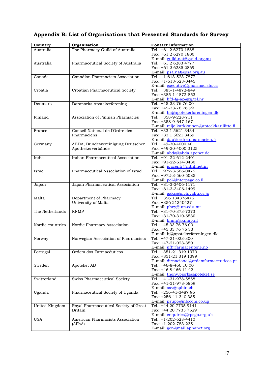# **Appendix B: List of Organisations that Presented Standards for Survey**

| Country          | Organisation                          | <b>Contact information</b>                   |
|------------------|---------------------------------------|----------------------------------------------|
|                  | The Pharmacy Guild of Australia       |                                              |
| Australia        |                                       | Tel.: +61 2 6270 1888                        |
|                  |                                       | Fax: +61 2 6270 1800                         |
|                  |                                       | E-mail: guild.nat@guild.org.au               |
| Australia        | Pharmaceutical Society of Australia   | Tel.: +61 2 6283 4777                        |
|                  |                                       | Fax: +61 2 6285 2869                         |
|                  |                                       | E-mail: psa.nat@psa.org.au                   |
| Canada           | Canadian Pharmacists Association      | Tel.: +1-613-523-7877                        |
|                  |                                       | Fax: +1-613-523-0445                         |
|                  |                                       | E-mail: executive@pharmacists.ca             |
| Croatia          | Croatian Pharmaceutical Society       | Tel.: +385-1-4872-849                        |
|                  |                                       | Fax: +385-1-4872-853                         |
|                  |                                       | E-mail: $hfd-fg-ap@zg.tel.hr$                |
| Denmark          | Danmarks Apotekerforening             | Tel.: +45-33-76 76 00                        |
|                  |                                       | Fax: +45-33-76 76 99                         |
|                  |                                       | E-mail: hs@apotekerforeningen.dk             |
| Finland          | Association of Finnish Pharmacies     | Tel.: +358-9-228-711                         |
|                  |                                       | Fax: +358-9-647-167                          |
|                  |                                       | E-mail: reijo.karkkainen@apteekkariliitto.fi |
| France           | Conseil National de l'Ordre des       | Tel.: +33 1 5621 3434                        |
|                  | Pharmaciens                           | Fax: +33 1 5621 3469                         |
|                  |                                       | E-mail: dap@ordre.pharmacien.fr              |
| Germany          | ABDA, Bundesvereinigung Deutscher     | Tel.: $+49-30-400040$                        |
|                  | Apothekerverbände                     | Fax: +49-30-4000 0125                        |
|                  |                                       | E-mail: abda@abda.aponet.de                  |
| India            | Indian Pharmaceutical Association     | Tel.: +91-22-612-2401                        |
|                  |                                       | Fax: +91-22-614-0480                         |
|                  |                                       |                                              |
|                  | Pharmaceutical Association of Israel  | E-mail: ipacentr@mtnl.net.in                 |
| Israel           |                                       | Tel.: +972-3-566-0475                        |
|                  |                                       | Fax: +972-3-560-5085                         |
|                  |                                       | E-mail: pol@interpage.co.il                  |
| Japan            | Japan Pharmaceutical Association      | Tel.: +81-3-3406-1171                        |
|                  |                                       | Fax: +81-3-3406-1499                         |
|                  |                                       | E-mail: gaku@nichiyaku.or.jp                 |
| Malta            | Department of Pharmacy                | Tel.: +356 1343764/5                         |
|                  | University of Malta                   | Fax: +356 21340427                           |
|                  |                                       | E-mail: phcy@um.edu.mt                       |
| The Netherlands  | <b>KNMP</b>                           | Tel.: +31-70-373-7373                        |
|                  |                                       | Fax: +31-70-310-6530                         |
|                  |                                       | E-mail: $kmmp@kmmp.nl$                       |
| Nordic countries | Nordic Pharmacy Association           | Tel.: +45 33 76 76 00                        |
|                  |                                       | Fax: +45 33 76 76 33                         |
|                  |                                       | E-mail: hj@apotekerforeningen.dk             |
| Norway           | Norwegian Association of Pharmacists  | Tel.: $+47-21-023-300$                       |
|                  |                                       | Fax: +47-21-023-350                          |
|                  |                                       | E-mail: <i>nff@farmaceutene.no</i>           |
| Portugal         | Ordem dos Farmacêuticos               | Tel.: +351-21 319 1370                       |
|                  |                                       | Fax: +351-21 319 1399                        |
|                  |                                       | E-mail: dirnacional@ordemfarmaceuticos.pt    |
| Sweden           | Apoteket AB                           | Tel.: $+46-8-466$ 10 00                      |
|                  |                                       | Fax: +46 8 466 11 42                         |
|                  |                                       | E-mail: thony.bjork@apoteket.se              |
| Switzerland      | Swiss Pharmaceutical Society          | Tel.: +41-31-978-5858                        |
|                  |                                       | Fax: +41-31-978-5859                         |
|                  |                                       | E-mail: sav@sphin.ch                         |
| Uganda           | Pharmaceutical Society of Uganda      | Tel.: +256-41-3487 96                        |
|                  |                                       | Fax: +256-41-340 385                         |
|                  |                                       |                                              |
|                  |                                       | E-mail: psupc@infocom.co.ug                  |
| United Kingdom   | Royal Pharmaceutical Society of Great | Tel.: +44 20 7735 9141                       |
|                  | Britain                               | Fax: +44 20 7735 7629                        |
|                  |                                       | E-mail: enquiries@rpsgb.org.uk               |
| <b>USA</b>       | American Pharmacists Association      | Tel.: +1-202-628-4410                        |
|                  | (APhA)                                | Fax: $+1-202-783-2351$                       |
|                  |                                       | E-mail: gen@mail.aphanet.org                 |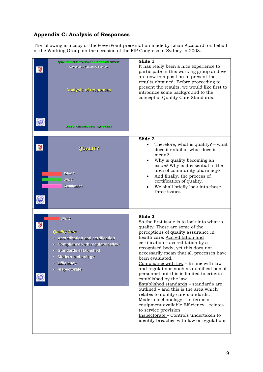#### **Appendix C: Analysis of Responses**

The following is a copy of the PowerPoint presentation made by Lilian Azzopardi on behalf of the Working Group on the occasion of the FIP Congress in Sydney in 2003.

|   | QUALITY CARE STANDARDS WORKING GROUP<br><b>Community Pharmacy Section</b><br>Analysis of responses                                                                                                           | Slide 1<br>It has really been a nice experience to<br>participate in this working group and we<br>are now in a position to present the<br>results obtained. Before proceeding to<br>present the results, we would like first to<br>introduce some background to the<br>concept of Quality Care Standards.                                                                                                                                                                                                                                                                                                                              |
|---|--------------------------------------------------------------------------------------------------------------------------------------------------------------------------------------------------------------|----------------------------------------------------------------------------------------------------------------------------------------------------------------------------------------------------------------------------------------------------------------------------------------------------------------------------------------------------------------------------------------------------------------------------------------------------------------------------------------------------------------------------------------------------------------------------------------------------------------------------------------|
|   | Lilian M. Azzopardi, Malta - Sydney 2003                                                                                                                                                                     |                                                                                                                                                                                                                                                                                                                                                                                                                                                                                                                                                                                                                                        |
|   |                                                                                                                                                                                                              |                                                                                                                                                                                                                                                                                                                                                                                                                                                                                                                                                                                                                                        |
|   | <b>QUALITY</b><br>What?<br>Why?<br><b>Certification</b>                                                                                                                                                      | Slide 2<br>Therefore, what is quality? – what<br>does it entail or what does it<br>mean?<br>Why is quality becoming an<br>issue? Why is it essential in the<br>area of community pharmacy?<br>And finally, the process of<br>certification of quality.<br>We shall briefly look into these<br>three issues.                                                                                                                                                                                                                                                                                                                            |
|   |                                                                                                                                                                                                              |                                                                                                                                                                                                                                                                                                                                                                                                                                                                                                                                                                                                                                        |
| 電 | What?<br><b>Quality Care</b><br><b>Accreditation and certification</b><br><b>Compliance with regulations/law</b><br>· Standards established<br><b>Modern technology</b><br><b>Efficiency</b><br>Inspectorate | Slide 3<br>So the first issue is to look into what is<br>quality. These are some of the<br>perceptions of quality assurance in<br>health care: Accreditation and<br>certification - accreditation by a<br>recognised body, yet this does not<br>necessarily mean that all processes have<br>been evaluated.<br>Compliance with law – In line with law<br>and regulations such as qualifications of<br>personnel but this is limited to criteria<br>established by the law.<br>Established standards - standards are<br>outlined - and this is the area which<br>relates to quality care standards.<br>Modern techonology - In terms of |
|   |                                                                                                                                                                                                              | equipment available Efficiency - relates<br>to service provision<br>Inspectorate - Controls undertaken to<br>identify breaches with law or regulations                                                                                                                                                                                                                                                                                                                                                                                                                                                                                 |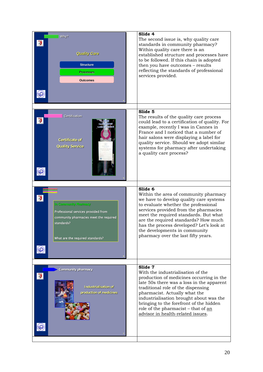| Why?<br><b>Quality Care</b><br><b>Structure</b><br><b>Processes</b><br><b>Outcomes</b>                                                                   | Slide 4<br>The second issue is, why quality care<br>standards in community pharmacy?<br>Within quality care there is an<br>established structure and processes have<br>to be followed. If this chain is adopted<br>then you have outcomes - results<br>reflecting the standards of professional<br>services provided.                                                  |
|----------------------------------------------------------------------------------------------------------------------------------------------------------|------------------------------------------------------------------------------------------------------------------------------------------------------------------------------------------------------------------------------------------------------------------------------------------------------------------------------------------------------------------------|
|                                                                                                                                                          | Slide 5                                                                                                                                                                                                                                                                                                                                                                |
| Certification<br>Certificate of<br><b>Quality Service</b>                                                                                                | The results of the quality care process<br>could lead to a certification of quality. For<br>example, recently I was in Cannes in<br>France and I noticed that a number of<br>hair salons were displaying a label for<br>quality service. Should we adopt similar<br>systems for pharmacy after undertaking<br>a quality care process?                                  |
|                                                                                                                                                          | Slide 6                                                                                                                                                                                                                                                                                                                                                                |
| In Community Pharmacy<br>Professional services provided from<br>community pharmacies meet the required<br>standards?<br>What are the required standards? | Within the area of community pharmacy<br>we have to develop quality care systems<br>to evaluate whether the professional<br>services provided from the pharmacies<br>meet the required standards. But what<br>are the required standards? How much<br>has the process developed? Let's look at<br>the developments in community<br>pharmacy over the last fifty years. |
|                                                                                                                                                          | Slide 7                                                                                                                                                                                                                                                                                                                                                                |
| <b>Community pharmacy</b><br>Industrialisation of<br>production of medicines                                                                             | With the industrialisation of the<br>production of medicines occurring in the<br>late 50s there was a loss in the apparent<br>traditional role of the dispensing<br>pharmacist. Actually what the<br>industrialisation brought about was the<br>bringing to the forefront of the hidden<br>role of the pharmacist - that of an<br>advisor in health-related issues.    |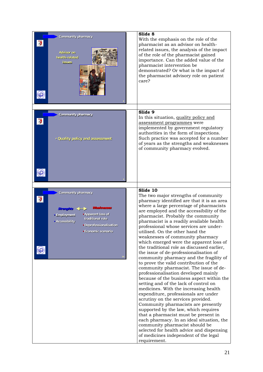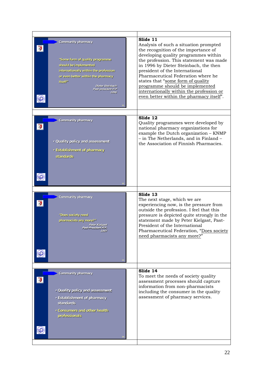| <b>Community pharmacy</b><br>"Some form of quality programme<br>betnemelgmi ed bluoria<br>internationally within the profession<br>or even better within the pharmacy<br>itself"<br>Dieter Steinbach<br>Past-president FIP<br>1996 | Slide 11<br>Analysis of such a situation prompted<br>the recognition of the importance of<br>developing quality programmes within<br>the profession. This statement was made<br>in 1996 by Dieter Steinbach, the then<br>president of the International<br>Pharmaceutical Federation where he<br>states that "some form of quality<br>programme should be implemented<br>internationally within the profession or<br>even better within the pharmacy itself". |
|------------------------------------------------------------------------------------------------------------------------------------------------------------------------------------------------------------------------------------|---------------------------------------------------------------------------------------------------------------------------------------------------------------------------------------------------------------------------------------------------------------------------------------------------------------------------------------------------------------------------------------------------------------------------------------------------------------|
|                                                                                                                                                                                                                                    |                                                                                                                                                                                                                                                                                                                                                                                                                                                               |
| Community pharmacy<br>· Quality policy and assessment<br>· Establishment of pharmacy<br>standards                                                                                                                                  | Slide 12<br>Quality programmes were developed by<br>national pharmacy organizations for<br>example the Dutch organization - KNMP<br>- in The Netherlands, and in Finland -<br>the Association of Finnish Pharmacies.                                                                                                                                                                                                                                          |
|                                                                                                                                                                                                                                    |                                                                                                                                                                                                                                                                                                                                                                                                                                                               |
| <b>Community pharmacy</b>                                                                                                                                                                                                          | Slide 13                                                                                                                                                                                                                                                                                                                                                                                                                                                      |
| "Does society need<br>pharmacists any more?"<br>Peter Kielgast<br>Past-President FIP,<br>1997                                                                                                                                      | The next stage, which we are<br>experiencing now, is the pressure from<br>outside the profession. I feel that this<br>pressure is depicted quite strongly in the<br>statement made by Peter Kielgast, Past-<br>President of the International<br>Pharmaceutical Federation, "Does society<br>need pharmacists any more?"                                                                                                                                      |
|                                                                                                                                                                                                                                    |                                                                                                                                                                                                                                                                                                                                                                                                                                                               |
| Community pharmacy<br>· Quality policy and assessment<br>· Establishment of pharmacy<br>standards<br>. Consumers and other health<br>professionals                                                                                 | Slide 14<br>To meet the needs of society quality<br>assessment processes should capture<br>information from non-pharmacists<br>including the consumer in the quality<br>assessment of pharmacy services.                                                                                                                                                                                                                                                      |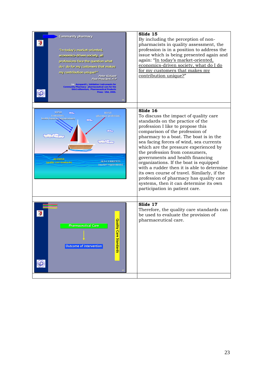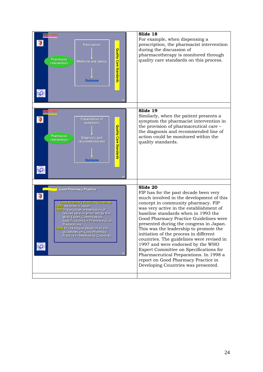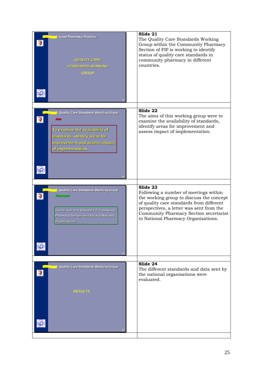| <b>Good Pharmacy Practice</b><br><b>QUALITY CARE</b><br><b>STANDARDS WORKING</b><br><b>GROUP</b>                                                                                                                                                                                                                                                                              | Slide 21<br>The Quality Care Standards Working<br>Group within the Community Pharmacy<br>Section of FIP is working to identify<br>status of quality care standards in<br>community pharmacy in different<br>countries.                                                    |
|-------------------------------------------------------------------------------------------------------------------------------------------------------------------------------------------------------------------------------------------------------------------------------------------------------------------------------------------------------------------------------|---------------------------------------------------------------------------------------------------------------------------------------------------------------------------------------------------------------------------------------------------------------------------|
| Quality Care Standards Working Group<br><b>Aim</b><br>To villidaliava enti enimaxe oT<br>standards, Identify areas for<br>for to be to the final the section of the section of the section of the section of the section of the section of the section of the section of the section of the section of the section of the section of the section of the<br>of implementation. | Slide 22<br>The aims of this working group were to<br>examine the availability of standards,<br>identify areas for improvement and<br>assess impact of implementation.                                                                                                    |
| Quality Care Standards Working Group<br>Fieldwork<br>A letter was sent from the FIP Community<br>Pharmacy Section secretariat to National<br>Organisations.                                                                                                                                                                                                                   | $S$ lide 23<br>Following a number of meetings within<br>the working group to discuss the concept<br>of quality care standards from different<br>perspectives, a letter was sent from the<br>Community Pharmacy Section secretariat<br>to National Pharmacy Organisations. |
| Quality Care Standards Working Group<br><b>RESULTS</b>                                                                                                                                                                                                                                                                                                                        | Slide 24<br>The different standards and data sent by<br>the national organisations were<br>evaluated.                                                                                                                                                                     |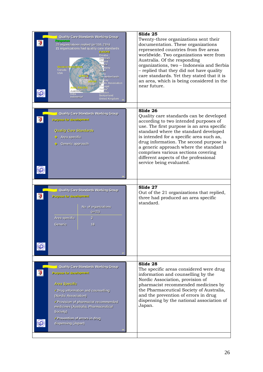| Quality Care Standards Working Group<br>Response<br>23 organizations replied (n=110, 21%)<br>21 organizations had quality care standards<br>EUROPE<br>Croatia<br>Denmark<br>Finland<br>France<br>Western Hemisph<br>Germany<br>Canada<br>Israel<br><b>USA</b><br><b>Malta</b><br><b>The Netherlands</b><br>Norway<br>Nordic Association<br>lapan<br>Portugal<br>ASIA, PACIFIC<br>Serbia <sup>v</sup><br>Australia <sup>32</sup><br>Sweden<br>India<br><b>Switzerland</b><br>Indonesia*<br><b>United Kingdom</b> | Slide 25<br>Twenty-three organizations sent their<br>documentation. These organizations<br>represented countries from five areas<br>worldwide. Two organizations were from<br>Australia. Of the responding<br>organizations, two - Indonesia and Serbia<br>- replied that they did not have quality<br>care standards. Yet they stated that it is<br>an area, which is being considered in the<br>near future.                  |
|-----------------------------------------------------------------------------------------------------------------------------------------------------------------------------------------------------------------------------------------------------------------------------------------------------------------------------------------------------------------------------------------------------------------------------------------------------------------------------------------------------------------|---------------------------------------------------------------------------------------------------------------------------------------------------------------------------------------------------------------------------------------------------------------------------------------------------------------------------------------------------------------------------------------------------------------------------------|
| Quality Care Standards Working Group<br>Purpose for development<br><b>Quality Care Standards</b><br>◆ Area specific<br>Generic approach                                                                                                                                                                                                                                                                                                                                                                         | Slide 26<br>Quality care standards can be developed<br>according to two intended purposes of<br>use. The first purpose is an area specific<br>standard where the standard developed<br>is intended for a specific area such as,<br>drug information. The second purpose is<br>a generic approach where the standard<br>comprises various sections covering<br>different aspects of the professional<br>service being evaluated. |
| Quality Care Standards Working Group<br>Purpose for development<br>No. of organizations<br>$(n=21)$<br>3<br>Area specific<br>18<br>Generic                                                                                                                                                                                                                                                                                                                                                                      | $\overline{\text{Silde}}$ 27<br>Out of the 21 organizations that replied,<br>three had produced an area specific<br>standard.                                                                                                                                                                                                                                                                                                   |
| Quality Care Standards Working Group<br>Purpose for development<br><b>Area Specific</b><br>Drug information and counselling<br>(Nordic Association)<br>Provision of pharmacist recommended<br>medicines (Australia, Pharmaceutical<br>Society)<br>√Prevention of errors in drug<br>dispensing (Japan)                                                                                                                                                                                                           | Slide 28<br>The specific areas considered were drug<br>information and counselling by the<br>Nordic Association, provision of<br>pharmacist recommended medicines by<br>the Pharmaceutical Society of Australia,<br>and the prevention of errors in drug<br>dispensing by the national association of<br>Japan.                                                                                                                 |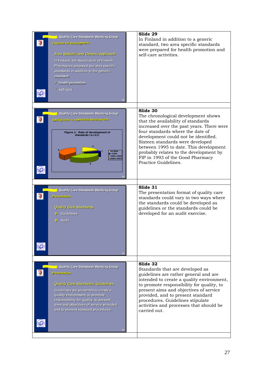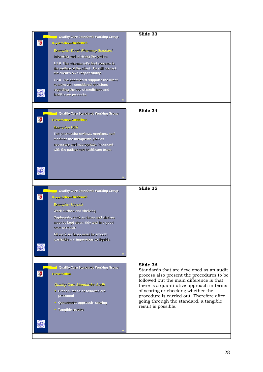| Quality Care Standards Working Group<br>Presentation-Guidelines<br>Examples- Dutch Pharmacy Standard<br>Informing and advising the patient<br>1.1.0 The pharmacist's first concern is<br>the welfare of the client. He will respect<br>the client's own responsibility.<br>1.2.0 The pharmacist supports the client<br>to make well considered decisions<br>regarding the use of medicines and<br>health care products. | Slide 33                                                                                                                                                                                                                                                                                                                                       |
|-------------------------------------------------------------------------------------------------------------------------------------------------------------------------------------------------------------------------------------------------------------------------------------------------------------------------------------------------------------------------------------------------------------------------|------------------------------------------------------------------------------------------------------------------------------------------------------------------------------------------------------------------------------------------------------------------------------------------------------------------------------------------------|
| Quality Care Standards Working Group<br><b>Presentation-Guidelines</b><br><b>Examples-USA</b><br>The pharmacist reviews, monitors, and<br>modifies the therapeutic plan as<br>necessary and appropriate, in concert<br>with the patient and healthcare team.                                                                                                                                                            | Slide 34                                                                                                                                                                                                                                                                                                                                       |
| Quality Care Standards Working Group<br>Presentation-Guidelines<br>Examples- Uganda<br>Work surface and shelving<br>Cupboards, work surfaces and shelves<br>must be kept clean, tidy and in a good<br>state of repair.<br>All work surfaces must be smooth,<br>washable and impervious to liquids.                                                                                                                      | Slide 35                                                                                                                                                                                                                                                                                                                                       |
| Quality Care Standards Working Group<br>Presentation<br><b>Quality Care Standards: Audit</b><br>Procedures to be followed are<br>presented<br>- Quantitative approach- scoring<br>• Tangible results                                                                                                                                                                                                                    | Slide 36<br>Standards that are developed as an audit<br>process also present the procedures to be<br>followed but the main difference is that<br>there is a quantitative approach in terms<br>of scoring or checking whether the<br>procedure is carried out. Therefore after<br>going through the standard, a tangible<br>result is possible. |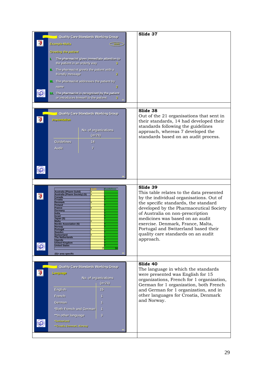| <b>Quality Care Standards Working Group</b>                                                                                                                                                                                                                                                                                                                                                                                                            | Slide 37                                                                                                                                                                                                                                                                                                                                                                                  |
|--------------------------------------------------------------------------------------------------------------------------------------------------------------------------------------------------------------------------------------------------------------------------------------------------------------------------------------------------------------------------------------------------------------------------------------------------------|-------------------------------------------------------------------------------------------------------------------------------------------------------------------------------------------------------------------------------------------------------------------------------------------------------------------------------------------------------------------------------------------|
| <b>Example-Malta</b><br>score                                                                                                                                                                                                                                                                                                                                                                                                                          |                                                                                                                                                                                                                                                                                                                                                                                           |
| <b>Greeting the patient</b>                                                                                                                                                                                                                                                                                                                                                                                                                            |                                                                                                                                                                                                                                                                                                                                                                                           |
| The pharmacist gives immediate attention to<br>L                                                                                                                                                                                                                                                                                                                                                                                                       |                                                                                                                                                                                                                                                                                                                                                                                           |
| the patient in an orderly way<br>з.                                                                                                                                                                                                                                                                                                                                                                                                                    |                                                                                                                                                                                                                                                                                                                                                                                           |
| II. The pharmacist greets the patient with a<br>friendly message<br>2                                                                                                                                                                                                                                                                                                                                                                                  |                                                                                                                                                                                                                                                                                                                                                                                           |
| III. The pharmacist addresses the patient by                                                                                                                                                                                                                                                                                                                                                                                                           |                                                                                                                                                                                                                                                                                                                                                                                           |
| name<br>2.                                                                                                                                                                                                                                                                                                                                                                                                                                             |                                                                                                                                                                                                                                                                                                                                                                                           |
| IV. The pharmacist is recognised by the patient<br>or introduces himself to the patient<br>з.                                                                                                                                                                                                                                                                                                                                                          |                                                                                                                                                                                                                                                                                                                                                                                           |
|                                                                                                                                                                                                                                                                                                                                                                                                                                                        |                                                                                                                                                                                                                                                                                                                                                                                           |
| Quality Care Standards Working Group<br>Presentation<br>No. of organizations<br>$(n=21)$                                                                                                                                                                                                                                                                                                                                                               | Slide 38<br>Out of the 21 organisations that sent in<br>their standards, 14 had developed their<br>standards following the guidelines<br>approach, whereas 7 developed the<br>standards based on an audit process.                                                                                                                                                                        |
| <b>Guidelines</b><br>14<br><b>Audit</b><br>$\overline{7}$                                                                                                                                                                                                                                                                                                                                                                                              |                                                                                                                                                                                                                                                                                                                                                                                           |
|                                                                                                                                                                                                                                                                                                                                                                                                                                                        |                                                                                                                                                                                                                                                                                                                                                                                           |
|                                                                                                                                                                                                                                                                                                                                                                                                                                                        |                                                                                                                                                                                                                                                                                                                                                                                           |
| <b>Guidelines</b><br>Australia (Pharm Guild)<br><b>Australia (Pharm Society) (S)</b><br>Canada<br>Croatia<br><b>Denmark</b><br><b>Finland</b><br><b>France</b><br>Germany<br>India<br><b>Israel</b><br>Japan (S)<br><b>Malta</b><br><b>Nordic Association (S)</b><br><b>Norway</b><br>Portugal<br><b>Sweden</b><br>Switzerland<br><b>The Netherlands</b><br><b>Uganda</b><br><b>United Kingdom</b><br><b>United States</b><br>14<br>(S)= area specific | Slide 39<br>This table relates to the data presented<br>by the individual organisations. Out of<br>the specific standards, the standard<br>developed by the Pharmaceutical Society<br>of Australia on non-prescription<br>medicines was based on an audit<br>exercise. Denmark, France, Malta,<br>Portugal and Switzerland based their<br>quality care standards on an audit<br>approach. |
|                                                                                                                                                                                                                                                                                                                                                                                                                                                        | Slide 40                                                                                                                                                                                                                                                                                                                                                                                  |
| Quality Care Standards Working Group<br>Language<br>No. of organizations<br>$(n=21)$<br>English<br>15<br>French<br>1<br>German<br>п<br>*Both French and German<br>1<br>3<br>**In other language<br>*Switzerland<br>**Croatia, Denmark, Norway                                                                                                                                                                                                          | The language in which the standards<br>were presented was English for 15<br>organizations, French for 1 organization,<br>German for 1 organization, both French<br>and German for 1 organization, and in<br>other languages for Croatia, Denmark<br>and Norway.                                                                                                                           |
|                                                                                                                                                                                                                                                                                                                                                                                                                                                        |                                                                                                                                                                                                                                                                                                                                                                                           |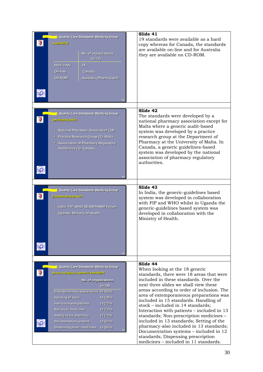| Quality Care Standards Working Group<br><b>Availability</b><br>No. of organizations<br>$(n=21)$<br>Hard-copy<br>19<br><b>On-line</b><br><b>Canada</b><br><b>CD-ROM</b><br>Australia (Pharm Guild)                                              | Slide 41<br>19 standards were available as a hard<br>copy whereas for Canada, the standards<br>are available on-line and for Australia<br>they are available on CD-ROM.                                                                                                                                                                                                                                                        |
|------------------------------------------------------------------------------------------------------------------------------------------------------------------------------------------------------------------------------------------------|--------------------------------------------------------------------------------------------------------------------------------------------------------------------------------------------------------------------------------------------------------------------------------------------------------------------------------------------------------------------------------------------------------------------------------|
| Quality Care Standards Working Group<br><b>Developing body</b><br>• National Pharmacy Association (19)<br>· Practice Research Group (1)- Malta<br>- Association of Pharmacy Regulatory<br>Authorities (1)- Canada                              | Slide 42<br>The standards were developed by a<br>national pharmacy association except for<br>Malta where a generic audit-based<br>system was developed by a practice<br>research group at the Department of<br>Pharmacy at the University of Malta. In<br>Canada, a generic guidelines-based<br>system was developed by the national<br>association of pharmacy regulatory<br>authorities.                                     |
| Quality Care Standards Working Group<br><b>Collaborating bodies</b><br>· India- FIP, WHO-SEARPHARM Forum<br>· Uganda- Ministry of Health                                                                                                       | Slide 43<br>In India, the generic-guidelines based<br>system was developed in collaboration<br>with FIP and WHO whilst in Uganda the<br>generic-guidelines based system was<br>developed in collaboration with the<br>Ministry of Health.                                                                                                                                                                                      |
| Quality Care Standards Working Group                                                                                                                                                                                                           | Slide 44                                                                                                                                                                                                                                                                                                                                                                                                                       |
| Areas included in generic standards<br>No. of organizations<br>$(n=18)$<br>Extemporaneous preparations 15 (83%)                                                                                                                                | When looking at the 18 generic<br>standards, there were 18 areas that were<br>included in these standards. Over the<br>next three slides we shall view these<br>areas according to order of inclusion. The                                                                                                                                                                                                                     |
| <b>Handling of stock</b><br>14 (78%)<br>Interaction with patients<br>13 (72%)<br>Non-presc medicines<br>13 (72%)<br>Setting of the pharmacy<br>13 (72%)<br><b>Documentation systems</b><br>12 (67%)<br>Dispensing presc. medicines<br>11 (61%) | area of extemporaneous preparations was<br>included in 15 standards. Handling of<br>stock - included in 14 standards;<br>Interaction with patients – included in 13<br>standards; Non-prescription medicines -<br>included in 13 standards; Setting of the<br>pharmacy-also included in 13 standards;<br>Documentation systems - included in 12<br>standards; Dispensing prescription<br>medicines – included in 11 standards. |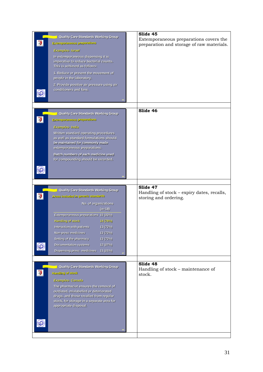|   | Quality Care Standards Working Group                               | Slide 45                                   |
|---|--------------------------------------------------------------------|--------------------------------------------|
|   |                                                                    | Extemporaneous preparations covers the     |
|   | Extemporaneous preparations                                        | preparation and storage of raw materials.  |
|   | Examples- Israel                                                   |                                            |
|   | In extemporaneous dispensing it is                                 |                                            |
|   | imperative to reduce bacterial counts.                             |                                            |
|   | This is achieved as follows:                                       |                                            |
|   | 1. Reduce or prevent the movement of                               |                                            |
|   | people in the laboratory.                                          |                                            |
|   | 2. Provide positive air pressure using air                         |                                            |
|   | conditioners and fans.                                             |                                            |
|   |                                                                    |                                            |
|   |                                                                    |                                            |
|   |                                                                    |                                            |
|   | Quality Care Standards Working Group                               | Slide 46                                   |
|   | Externporameous preparations                                       |                                            |
|   |                                                                    |                                            |
|   | <b>Examples-India</b>                                              |                                            |
|   | Written standard operating procedures                              |                                            |
|   | as well as standard formulations should                            |                                            |
|   | be maintained for commonly made                                    |                                            |
|   | extemporaneous preparations.                                       |                                            |
|   | Batch numbers of each medicine used                                |                                            |
|   | for compounding should be recorded.                                |                                            |
|   |                                                                    |                                            |
|   |                                                                    |                                            |
|   |                                                                    |                                            |
|   |                                                                    |                                            |
|   | Quality Care Standards Working Group                               | Slide 47                                   |
|   | Areas included in generic standards                                | Handling of stock - expiry dates, recalls, |
|   |                                                                    |                                            |
|   |                                                                    | storing and ordering.                      |
|   | No. of organizations                                               |                                            |
|   | $(n=18)$                                                           |                                            |
|   | Extemporaneous preparations 15 (83%)                               |                                            |
|   | <b>Neofe to gnilleneR</b><br>14 (78%)                              |                                            |
|   | Interaction with patients<br>13 (72%)                              |                                            |
|   | Non-presc medicines<br>13 (72%)                                    |                                            |
|   | Setting of the pharmacy<br>13 (72%)                                |                                            |
|   | 12 (67%)<br><b>Documentation systems</b>                           |                                            |
|   | Dispensing presc. medicines<br>11 (61%)                            |                                            |
|   |                                                                    |                                            |
|   |                                                                    |                                            |
|   | Quality Care Standards Working Group                               | Slide 48                                   |
| 零 | <b>Handling of stock</b>                                           | Handling of stock - maintenance of         |
|   |                                                                    | stock.                                     |
|   | Examples- Canada                                                   |                                            |
|   | The pharmacist ensures the removal of                              |                                            |
|   | outdated, mislabelled or deteriorated                              |                                            |
|   | drugs, and those recalled from regular                             |                                            |
|   | stock, for storage in a separate area for<br>appropriate disposal. |                                            |
|   |                                                                    |                                            |
|   |                                                                    |                                            |
|   |                                                                    |                                            |
|   |                                                                    |                                            |
|   |                                                                    |                                            |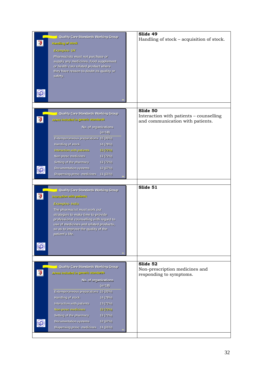|                                                     | Slide 49                                  |
|-----------------------------------------------------|-------------------------------------------|
| Quality Care Standards Working Group                | Handling of stock - acquisition of stock. |
| <b>Neote to gnillonell</b>                          |                                           |
| Examples-UK                                         |                                           |
|                                                     |                                           |
| Pharmacists must not purchase or                    |                                           |
| supply any medicines, food supplement               |                                           |
| or health care related product where                |                                           |
| they have reason to doubt its quality or<br>safety. |                                           |
|                                                     |                                           |
|                                                     |                                           |
|                                                     |                                           |
|                                                     |                                           |
|                                                     |                                           |
|                                                     |                                           |
|                                                     | Slide 50                                  |
| Quality Care Standards Working Group                | Interaction with patients - counselling   |
| Areas included in generic standards                 | and communication with patients.          |
|                                                     |                                           |
| No. of organizations                                |                                           |
| $(n=18)$                                            |                                           |
| Extemporaneous preparations 15 (83%)                |                                           |
| <b>Handling of stock</b><br>14 (78%)                |                                           |
| Interaction with patients<br>13 (72%)               |                                           |
| Non-presc medicines<br>13 (72%)                     |                                           |
|                                                     |                                           |
| Setting of the pharmacy<br>13 (72%)                 |                                           |
| <b>Documentation systems</b><br>12 (67%)            |                                           |
| Dispensing presc. medicines 11 (61%)                |                                           |
|                                                     |                                           |
|                                                     | Slide 51                                  |
| Quality Care Standards Working Group                |                                           |
| Interaction with patients                           |                                           |
|                                                     |                                           |
| <b>Examples-India</b>                               |                                           |
| The pharmacist must work out                        |                                           |
| strategies to make time to provide                  |                                           |
| professional counselling with regard to             |                                           |
| use of medicines and related products,              |                                           |
| so as to improve the quality of the                 |                                           |
| patient's life.                                     |                                           |
|                                                     |                                           |
|                                                     |                                           |
|                                                     |                                           |
|                                                     |                                           |
|                                                     | Slide 52                                  |
| <b>Quality Care Standards Working Group</b>         | Non-prescription medicines and            |
| Areas included in generic standards                 | responding to symptoms.                   |
|                                                     |                                           |
|                                                     |                                           |
| No. of organizations                                |                                           |
| $(n=18)$                                            |                                           |
| Extemporaneous preparations 15 (83%)                |                                           |
| <b>Handling of stock</b><br>14 (78%)                |                                           |
| Interaction with patients<br>13 (72%)               |                                           |
|                                                     |                                           |
| Non-presc medicines<br>13 (72%)                     |                                           |
| Setting of the pharmacy<br>13 (72%)                 |                                           |
| Documentation systems<br>12 (67%)                   |                                           |
| Dispensing presc. medicines<br>11 (61%)             |                                           |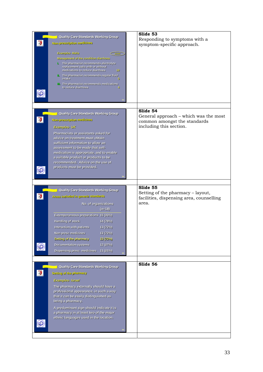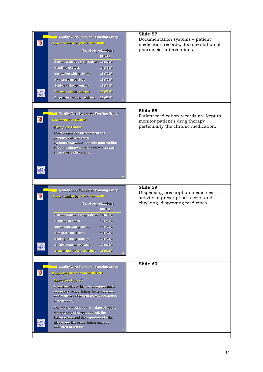| Quality Care Standards Working Group<br>Areas included in generic standards<br>No. of organizations<br>$(n=18)$<br>Extemporaneous preparations 15 (83%)<br>Handling of stock<br>14 (78%)<br>Interaction with patients<br>13 (72%)<br>Non-presc medicines<br>13 (72%)<br>Setting of the pharmacy<br>13 (72%)<br><b>Documentation systems</b><br>12 (67%)<br>Dispensing presc. medicines<br>11 (61%)                                           | Slide 57<br>Documentation systems - patient<br>medication records, documentation of<br>pharmacist interventions.             |
|----------------------------------------------------------------------------------------------------------------------------------------------------------------------------------------------------------------------------------------------------------------------------------------------------------------------------------------------------------------------------------------------------------------------------------------------|------------------------------------------------------------------------------------------------------------------------------|
| Quality Care Standards Working Group<br><b>Documentation systems</b><br><b>Examples- France</b><br>L'historique des medicaments et<br>produits delivres est-il<br>systematiquement consulte pour verifier<br>la bonne observance du traitement par<br>les malades chroniques                                                                                                                                                                 | Slide 58<br>Patient medication records are kept to<br>monitor patient's drug therapy<br>particularly the chronic medication. |
| Quality Care Standards Working Group<br>Areas included in generic standards<br>No. of organizations<br>$(n=18)$<br>Extemporaneous preparations 15 (83%)<br>Handling of stock<br>14 (78%)<br>Interaction with patients<br>13 (72%)<br>Non-presc medicines<br>13 (72%)<br>Setting of the pharmacy<br>13 (72%)<br>12 (67%)<br><b>Documentation systems</b><br>Dispensing presc. medicines<br>11 (61%)                                           | Slide 59<br>Dispensing prescription medicines –<br>activity of prescription receipt and<br>checking, dispensing medicines.   |
| <b>Quality Care Standards Working Group</b><br>Beniefbem notiqiteserq prilaneqalQ<br>Examples- Uganda<br>A pharmacist or his/her designee must<br>see every prescription for a medicine<br>and make a judgement as to what action<br>is necessary.<br>For each prescription, the date of issue,<br>the quantity of drug supplied, the<br>balance due and the signature of who<br>dispenses the prescription must be<br>indicated in red ink. | Slide 60                                                                                                                     |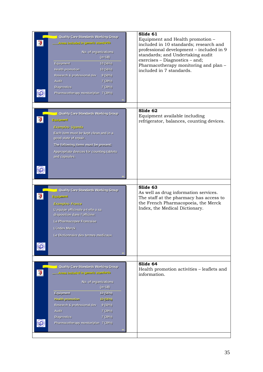| Quality Care Standards Working Group<br>chnebuste cheneg uf bebulant esenA<br>No. of organizations<br>$(n=18)$<br>Equipment<br>10 (56%)<br><b>Health promotion</b><br>10 (56%)<br>Research & professional dev<br>9(50%)<br><b>Audit</b><br>7 (39%)<br><b>Diagnostics</b><br>7 (39%)<br>Pharmacotherapy monitor/plan 7 (39%)       | Slide 61<br>Equipment and Health promotion -<br>included in 10 standards; research and<br>professional development - included in 9<br>standards; and Undertaking audit<br>exercises - Diagnostics - and;<br>Pharmacotherapy monitoring and plan -<br>included in 7 standards. |
|-----------------------------------------------------------------------------------------------------------------------------------------------------------------------------------------------------------------------------------------------------------------------------------------------------------------------------------|-------------------------------------------------------------------------------------------------------------------------------------------------------------------------------------------------------------------------------------------------------------------------------|
| Quality Care Standards Working Group<br>Equipment<br><b>Examples-Uganda</b><br>Each item must be kept clean and in a<br>good state of repair.<br>The following items must be present:<br>Appropriate devices for counting tablets<br>and capsules.                                                                                | Slide 62<br>Equipment available including<br>refrigerator, balances, counting devices.                                                                                                                                                                                        |
| Quality Care Standards Working Group<br>Equipment<br><b>Examples- France</b><br>L'equipe officinale a-t-elle a sa<br>disposition dans l'officine:<br>La Pharmacopee Francaise<br>L'index Merck<br>Le Dictionnaire des termes medicaux                                                                                             | Slide 63<br>As well as drug information services.<br>The staff at the pharmacy has access to<br>the French Pharmacopoeia, the Merck<br>Index, the Medical Dictionary.                                                                                                         |
| <b>Quality Care Standards Working Group</b><br>chrebnets cheneg ni bebulani seerA<br>No. of organizations<br>$(n=18)$<br>Equipment<br>10 (56%)<br><b>Health promotion</b><br>10(56%)<br>Research & professional dev<br>9(50%)<br><b>Audit</b><br>7 (39%)<br><b>Diagnostics</b><br>7 (39%)<br>Pharmacotherapy monitor/plan 7 (39%) | Slide 64<br>Health promotion activities - leaflets and<br>information.                                                                                                                                                                                                        |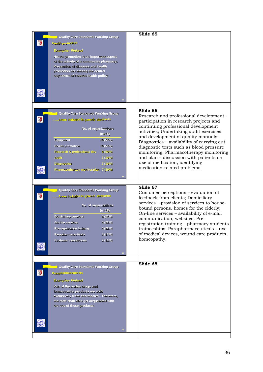| Quality Care Standards Working Group             | Slide 65                                   |
|--------------------------------------------------|--------------------------------------------|
| <b>Notiomerg</b> dilisel-                        |                                            |
| <b>Examples-Finland</b>                          |                                            |
| Health promotion is an important aspect          |                                            |
| of the activity of a community pharmacy.         |                                            |
| Prevention of diseases and health                |                                            |
| promotion are among the central                  |                                            |
| objectives of Finnish health policy.             |                                            |
|                                                  |                                            |
|                                                  |                                            |
|                                                  |                                            |
|                                                  |                                            |
|                                                  |                                            |
|                                                  | Slide 66                                   |
| Quality Care Standards Working Group             | Research and professional development -    |
| <b>Christians of renep of bebuloni casyA</b>     | participation in research projects and     |
|                                                  | continuing professional development        |
| No. of organizations                             | activities; Undertaking audit exercises    |
| $(n=18)$                                         | and development of quality manuals;        |
| Equipment<br>10 (56%)                            | Diagnostics - availability of carrying out |
| <b>Health promotion</b><br>10 (56%)              | diagnostic tests such as blood pressure    |
| <b>Research &amp; professional dev</b><br>9(50%) | monitoring; Pharmacotherapy monitoring     |
| <b>Audit</b><br>7 (39%)                          | and plan - discussion with patients on     |
| <b>Diagnostics</b><br>7 (39%)                    | use of medication, identifying             |
| Pharmacotherapy monitor/plan 7 (39%)             | medication-related problems.               |
|                                                  |                                            |
|                                                  |                                            |
|                                                  | Slide 67                                   |
| Quality Care Standards Working Group             | Customer perceptions – evaluation of       |
| chrishete offeneg of bebulant esenA              | feedback from clients; Domiciliary         |
|                                                  | services – provision of services to house- |
| No. of organizations<br>$(n=18)$                 | bound persons, homes for the elderly;      |
|                                                  | On-line services - availability of e-mail  |
| <b>Domiciliary services</b><br>4 (22%)           | communication, websites; Pre-              |
| On-line services<br>4(22%)                       | registration training - pharmacy students  |
| 4 (22%)<br>Pre-registration training             | traineeships; Parapharmaceuticals - use    |
| Parapharmaceuticals<br>3(17%)                    | of medical devices, wound care products,   |
| <b>Customer perceptions</b><br>2(11%)            | homeopathy.                                |
|                                                  |                                            |
|                                                  |                                            |
|                                                  |                                            |
|                                                  | Slide 68                                   |
| Quality Care Standards Working Group             |                                            |
| Parapharmaceuticals                              |                                            |
| <b>Examples-Finland</b>                          |                                            |
| Part of the herbal drugs and                     |                                            |
| homeopathic products are sold                    |                                            |
| exclusively from pharmacies. Therefore,          |                                            |
| the staff shall also get acquainted with         |                                            |
| the use of these products.                       |                                            |
|                                                  |                                            |
|                                                  |                                            |
|                                                  |                                            |
|                                                  |                                            |
|                                                  |                                            |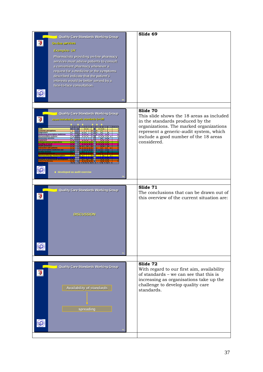| Quality Care Standards Working Group<br><b>Ceotvres enti-nO</b><br><b>Examples-UK</b><br>Pharmacists providing on-line pharmacy<br>services must advise patients to consult<br>a convenient pharmacy whenever a<br>request for a medicine or the symptoms<br>described indicate that the patient's<br>interests would be better served by a<br>face-to-face consultation. | Slide 69                                                                                                                                                                                                                                |
|---------------------------------------------------------------------------------------------------------------------------------------------------------------------------------------------------------------------------------------------------------------------------------------------------------------------------------------------------------------------------|-----------------------------------------------------------------------------------------------------------------------------------------------------------------------------------------------------------------------------------------|
| Quality Care Standards Working Group<br>Areas included in generic standards (n=18)<br><b>ustomer perceptions</b><br>liagnostics<br>ispensing prescription medicine<br>ocumentation systems<br><b>omiciliary service</b><br>16 10<br>8 5 14 10 11 5 14<br>♦ developed as audit exercise                                                                                    | Slide 70<br>This slide shows the 18 areas as included<br>in the standards produced by the<br>organizations. The marked organizations<br>represent a generic-audit system, which<br>include a good number of the 18 areas<br>considered. |
| Quality Care Standards Working Group<br><b>DISCUSSION</b>                                                                                                                                                                                                                                                                                                                 | Slide 71<br>The conclusions that can be drawn out of<br>this overview of the current situation are:                                                                                                                                     |
| Quality Care Standards Working Group<br><b>Availability of standards</b><br>spreading                                                                                                                                                                                                                                                                                     | Slide 72<br>With regard to our first aim, availability<br>of standards - we can see that this is<br>increasing as organisations take up the<br>challenge to develop quality care<br>standards.                                          |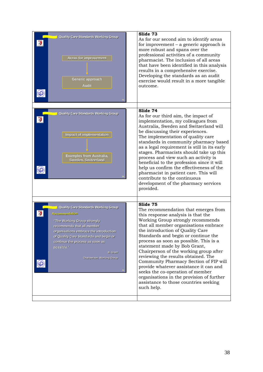| Quality Care Standards Working Group<br>Areas for improvement<br>Generic approach<br><b>Audit</b>                                                                                                                                                                                                         | Slide 73<br>As for our second aim to identify areas<br>for improvement $-$ a generic approach is<br>more robust and spans over the<br>professional activities of a community<br>pharmacist. The inclusion of all areas<br>that have been identified in this analysis<br>results in a comprehensive exercise.<br>Developing the standards as an audit<br>exercise would result in a more tangible<br>outcome.                                                                                                                                                                                                                           |
|-----------------------------------------------------------------------------------------------------------------------------------------------------------------------------------------------------------------------------------------------------------------------------------------------------------|----------------------------------------------------------------------------------------------------------------------------------------------------------------------------------------------------------------------------------------------------------------------------------------------------------------------------------------------------------------------------------------------------------------------------------------------------------------------------------------------------------------------------------------------------------------------------------------------------------------------------------------|
| Quality Care Standards Working Group<br><b>Impact of implementation</b><br><b>Examples from Australia,</b><br>Sweden, Switzerland                                                                                                                                                                         | Slide 74<br>As for our third aim, the impact of<br>implementation, my colleagues from<br>Australia, Sweden and Switzerland will<br>be discussing their experiences.<br>The implementation of quality care<br>standards in community pharmacy based<br>as a legal requirement is still in its early<br>stages. Pharmacists should take up this<br>process and view such an activity is<br>beneficial to the profession since it will<br>help us confirm the effectiveness of the<br>pharmacist in patient care. This will<br>contribute to the continuous<br>development of the pharmacy services<br>provided.                          |
| Quality Care Standards Working Group<br>nefisbnemmeesR<br>"The Working Group strongly<br>recommends that all member<br>organisations embrace the introduction<br>of Quality Care Standards and begin or<br>continue the process as soon as<br>possible."<br><b>B.</b> Grant<br>Chairperson, Working Group | Slide 75<br>The recommendation that emerges from<br>this response analysis is that the<br>Working Group strongly recommends<br>that all member organisations embrace<br>the introduction of Quality Care<br>Standards and begin or continue the<br>process as soon as possible. This is a<br>statement made by Bob Grant,<br>Chairperson of the working group after<br>reviewing the results obtained. The<br>Community Pharmacy Section of FIP will<br>provide whatever assistance it can and<br>seeks the co-operation of member<br>organisations in the provision of further<br>assistance to those countries seeking<br>such help. |